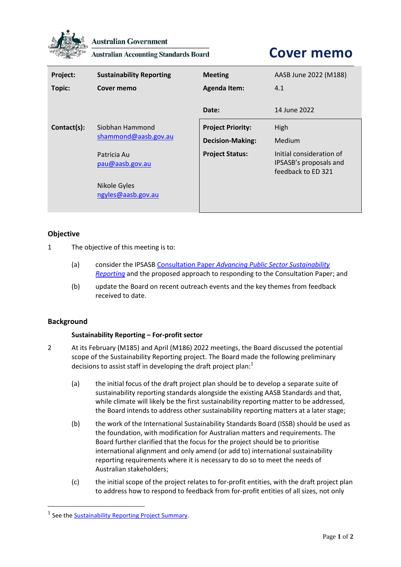

**Australian Government** 

**Australian Accounting Standards Board** 

# **Cover memo**

| Project:<br>Topic: | <b>Sustainability Reporting</b><br>Cover memo | <b>Meeting</b><br><b>Agenda Item:</b>               | AASB June 2022 (M188)<br>4.1                                             |
|--------------------|-----------------------------------------------|-----------------------------------------------------|--------------------------------------------------------------------------|
|                    |                                               | Date:                                               | 14 June 2022                                                             |
| Contact(s):        | Siobhan Hammond<br>shammond@aasb.gov.au       | <b>Project Priority:</b><br><b>Decision-Making:</b> | High<br>Medium                                                           |
|                    | Patricia Au<br>pau@aasb.gov.au                | <b>Project Status:</b>                              | Initial consideration of<br>IPSASB's proposals and<br>feedback to ED 321 |
|                    | Nikole Gyles<br>ngyles@aasb.gov.au            |                                                     |                                                                          |

# **Objective**

- 1 The objective of this meeting is to:
	- (a) consider the IPSASB Consultation Paper *[Advancing Public Sector Sustainability](https://www.ifac.org/system/files/publications/files/IPSASB-Sustainability-Reporting-CP.pdf)  [Reporting](https://www.ifac.org/system/files/publications/files/IPSASB-Sustainability-Reporting-CP.pdf)* and the proposed approach to responding to the Consultation Paper; and
	- (b) update the Board on recent outreach events and the key themes from feedback received to date.

# **Background**

# **Sustainability Reporting – For-profit sector**

- 2 At its February (M185) and April (M186) 2022 meetings, the Board discussed the potential scope of the Sustainability Reporting project. The Board made the following preliminary decisions to assist staff in developing the draft project plan: $<sup>1</sup>$ </sup>
	- (a) the initial focus of the draft project plan should be to develop a separate suite of sustainability reporting standards alongside the existing AASB Standards and that, while climate will likely be the first sustainability reporting matter to be addressed, the Board intends to address other sustainability reporting matters at a later stage;
	- (b) the work of the International Sustainability Standards Board (ISSB) should be used as the foundation, with modification for Australian matters and requirements. The Board further clarified that the focus for the project should be to prioritise international alignment and only amend (or add to) international sustainability reporting requirements where it is necessary to do so to meet the needs of Australian stakeholders;
	- (c) the initial scope of the project relates to for-profit entities, with the draft project plan to address how to respond to feedback from for-profit entities of all sizes, not only

<sup>&</sup>lt;sup>1</sup> See the **Sustainability Reporting Project Summary**.